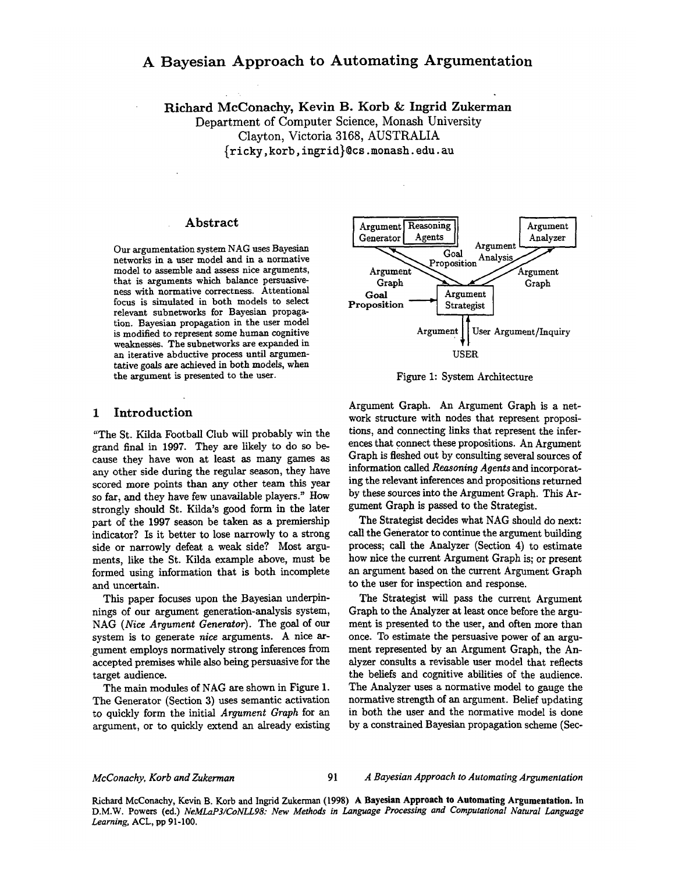# A Bayesian Approach to Automating Argumentation

Richard McConachy, Kevin B. Korb & Ingrid Zukerman Department of Computer Science, Monash University Clayton, Victoria 3168, AUSTRALIA {ricky, korb, ingrid}~cs .monash. edu. au

#### Abstract

Our argumentation system NAG uses Bayesian networks in a user model and in a normative model to assemble and assess nice arguments, that is arguments which balance persuasiveness with normative correctness. Attentional focus is simulated in both models to select relevant subnetworks for Bayesian propagation. Bayesian propagation in the user model is modified to represent some human cognitive weaknesses. The subnetworks are expanded in an iterative abductive process until argumentative goals are achieved in both models, when the argument is presented to the user.

#### 1 Introduction

"The St. Kilda Football Club will probably win the grand final in 1997. They are likely to do so because they have won at least as many games as any other side during the regular season, they have scored more points than any other team this year so far, and they have few unavailable players." How strongly should St. Kilda's good form in the later part of the 1997 season be taken as a premiership indicator? Is it better to lose narrowly to a strong side or narrowly defeat a weak side? Most arguments, like the St. Kilda example above, must be formed using information that is both incomplete and uncertain.

This paper focuses upon the Bayesian underpinnings of our argument generation-analysis system, NAG *(Nice Argument Generator).* The goal of our system is to generate nice arguments. A nice argument employs normatively strong inferences from accepted premises while also being persuasive for the target audience.

The main modules of NAG are shown in Figure 1. The Generator (Section 3) uses semantic activation to quickly form the initial *Argument Graph* for an argument, or to quickly extend an already existing



Figure 1: System Architecture

Argument Graph. An Argument Graph is a network structure with nodes that represent propositions, and connecting links that represent the inferences that connect these propositions. An Argument Graph is fleshed out by consulting several sources of information called *Reasoning Agents* and incorporating the relevant inferences and propositions returned by these sources into the Argument Graph. This Argument Graph is passed to the Strategist.

The Strategist decides what NAG should do next: call the Generator to continue the argument building process; call the Analyzer (Section 4) to estimate how nice the current Argument Graph is; or present an argument based on the current Argument Graph to the user for inspection and response.

The Strategist will pass the current Argument Graph to the Analyzer at least once before the argument is presented to the user, and often more than once. To estimate the persuasive power of an argument represented by an Argument Graph, the Analyzer consults a revisable user model that reflects the beliefs and cognitive abilities of the audience. The Analyzer uses a normative model to gauge the normative strength of an argument. Belief updating in both the user and the normative model is done by a constrained Bayesian propagation scheme (Sec-

#### *McConachy, Korb and Zukerman 91 A Bayesian Approach to Automating Argumentation*

Richard McConachy, Kevin B. Korb and Ingrid Zukerman (1998) A **Bayesian Approach to Automating Argumentation.** In D.M.W. Powers (ed.) *NeMLaP3/CoNLL98: New Methods in Language Processing and Computational Natural Language Learning,* ACL, pp 91-100.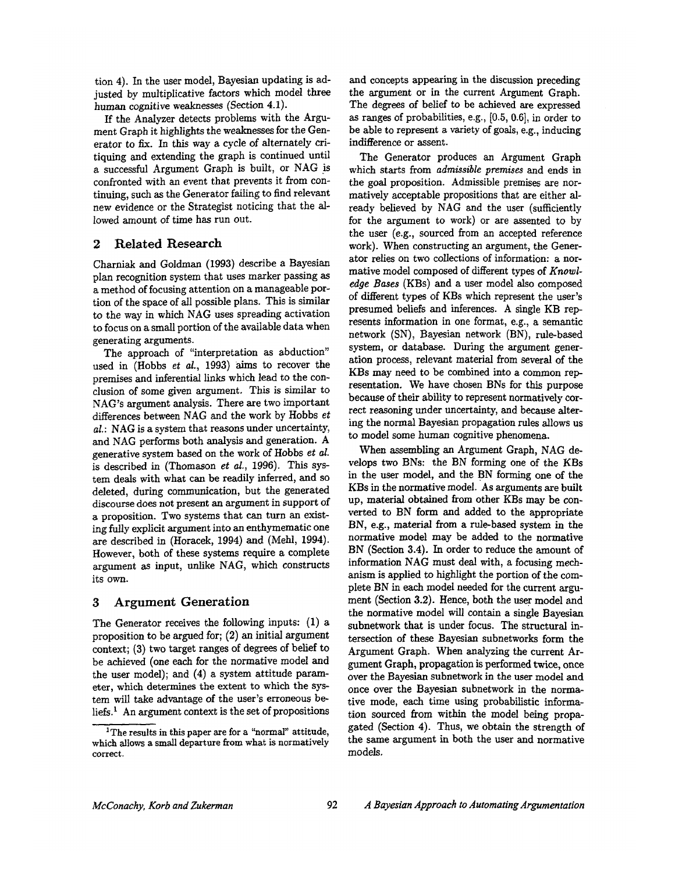tion 4). In the user model, Bayesian updating is adjusted by multiplicative factors which model three human cognitive weaknesses (Section 4.1).

If the Analyzer detects problems with the Argument Graph it highlights the weaknesses for the Generator to fix. In this way a cycle of alternately critiquing and extending the graph is continued until a successful Argument Graph is built, or NAG is confronted with an event that prevents it from continuing, such as the Generator failing to find relevant new evidence or the Strategist noticing that the allowed amount of time has run out.

# 2 Related Research

Charniak and Goldman (1993) describe a Bayesian plan recognition system that uses marker passing as a method of focusing attention on a manageable portion of the space of all possible plans. This is similar to the way in which NAG uses spreading activation to focus on a small portion of the available data when generating arguments.

The approach of "interpretation as abduction" used in (Hobbs *et al.,* 1993) aims to recover the premises and inferential links which lead to the conclusion of some given argument. This is similar to NAG's argument analysis. There are two important differences between NAG and the work by Hobbs *et al.:* NAG is a system that reasons under uncertainty, and NAG performs both analysis and generation. A generative system based on the work of Hobbs *et al.*  is described in (Thomason *et al.,* 1996). This system deals with what can be readily inferred, and so deleted, during communication, but the generated discourse does not present an argument in support of a proposition. Two systems that can turn an existing fully explicit argument into an enthymematic one are described in (Horacek, 1994) and (Mehl, 1994). However, both of these systems require a complete argument as input, unlike NAG, which constructs its own.

## **3** Argument Generation

The Generator receives the following inputs: (1) a proposition to be argued for; (2) an initial argument context; (3) two target ranges of degrees of belief to be achieved (one each for the normative model and the user model); and (4) a system attitude parameter, which determines the extent to which the system will take advantage of the user's erroneous beliefs.<sup>1</sup> An argument context is the set of propositions and concepts appearing in the discussion preceding the argument or in the current Argument Graph. The degrees of belief to be achieved are expressed as ranges of probabilities, e.g., [0.5, 0.6], in order to be able to represent a variety of goals, e.g., inducing indifference or assent.

The Generator produces an Argument Graph which starts from *admissible premises* and ends in the goal proposition. Admissible premises are normatively acceptable propositions that are either already believed by NAG and the user (sufficiently for the argument to work) or are assented to by the user (e.g., sourced from an accepted reference work). When constructing an argument, the Generator relies on two collections of information: a normative model composed of different types of *Knowledge Bases* (KBs) and a user model also composed of different types of KBs which represent the user's presumed beliefs and inferences. A single KB represents information in one format, e.g., a semantic network (SN), Bayesian network (BN), rule-based system, or database. During the argument generation process, relevant material from several of the KBs may need to be combined into a common representation. We have chosen BNs for this purpose because of their ability to represent normatively correct reasoning under uncertainty, and because altering the normal Bayesian propagation rules allows us to model some human cognitive phenomena.

When assembling an Argument Graph, NAG develops two BNs: the BN forming one of the KBs in the user model, and the BN forming one of the KBs in the normative model. As arguments are built up, material obtained from other KBs may be convetted to BN form and added to the appropriate BN, e.g., material from a rule-based system in the normative model may be added to the normative BN (Section 3.4). In order to reduce the amount of information NAG must deal with, a focusing mechanism is applied to highlight the portion of the complete BN in each model needed for the current argument (Section 3.2). Hence, both the user model and the normative model will contain a single Bayesian subnetwork that is under focus. The structural intersection of these Bayesian subnetworks form the Argument Graph. When analyzing the current Argurnent Graph, propagation is performed twice, once over the Bayesian subnetwork in the user model and once over the Bayesian subnetwork in the normative mode, each time using probabilistic information sourced from within the model being propagated (Section 4). Thus, we obtain the strength of the same argument in both the user and normative models.

<sup>&</sup>lt;sup>1</sup>The results in this paper are for a "normal" attitude, which allows a small departure from what is normatively correct.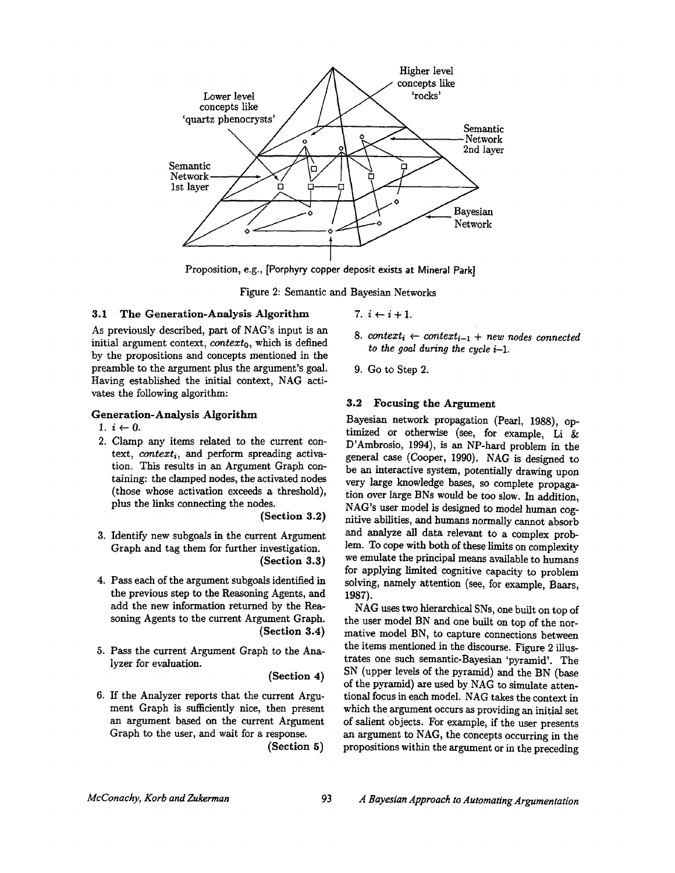

Proposition, e.g., [Porphyry copper deposit exists at Mineral Park]

Figure 2: Semantic and Bayesian Networks

#### 3.1 The Generation-Analysis Algorithm

As previously described, part of NAG's input is an initial argument context, *contexto,* which is defined by the propositions and concepts mentioned in the preamble to the argument plus the argument's goal. Having established the initial context, NAG activates the following algorithm:

## **Generation-Analysis** Algorithm

- 1.  $i \leftarrow 0$ .
- 2. Clamp any items related to the current context, *context<sub>i</sub>*, and perform spreading activation. This results in an Argument Graph containing: the clamped nodes, the activated nodes (those whose activation exceeds a threshold), plus the links connecting the nodes.

**(Section 3.2)** 

- 3. Identify new subgoals in the current Argument Graph and tag them for further investigation. **(Section 3.3)**
- 4. Pass each of the argument subgoals identified in the previous step to the Reasoning Agents, and add the new information returned by the Reasoning Agents to the current Argument Graph. **(Section 3.4)**
- 5. Pass the current Argument Graph to the Analyzer for evaluation.

**(Section 4)** 

6. If the Analyzer reports that the current Argument Graph is sufficiently nice, then present an argument based on the current Argument Graph to the user, and wait for a response.

**(Section 5)** 

- 7.  $i \leftarrow i+1$ .
- 8. context<sub>i</sub>  $\leftarrow$  context<sub>i-1</sub> + new nodes connected *to the goal during the cycle i-1.*
- 9. Go to Step 2.

### **3.2 Focusing the Argument**

Bayesian network propagation (Pearl, 1988), optimized or otherwise (see, for example, Li & D'Ambrosio, 1994), is an NP-hard problem in the general case (Cooper, 1990). NAG is designed to be an interactive system, potentially drawing upon very large knowledge bases, so complete propagation over large BNs would be too slow. In addition, NAG's user model is designed to model human cognitive abilities, and humans normally cannot absorb and analyze all data relevant to a complex problem. To cope with both of these limits on complexity we emulate the principal means available to humans for applying limited cognitive capacity to problem solving, namely attention (see, for example, Baars, 1987).

NAG uses two hierarchical SNs, one built on top of the user model BN and one built on top of the normative model BN, to capture connections between the items mentioned in the discourse. Figure 2 illustrates one such semantic-Bayesian 'pyramid'. The SN (upper levels of the pyramid) and the BN (base of the pyramid) are used by NAG to simulate attentional focus in each model. NAG takes the context in which the argument occurs as providing an initial set of salient objects. For example, if the user presents an argument to NAG, the concepts occurring in the propositions within the argument or in the preceding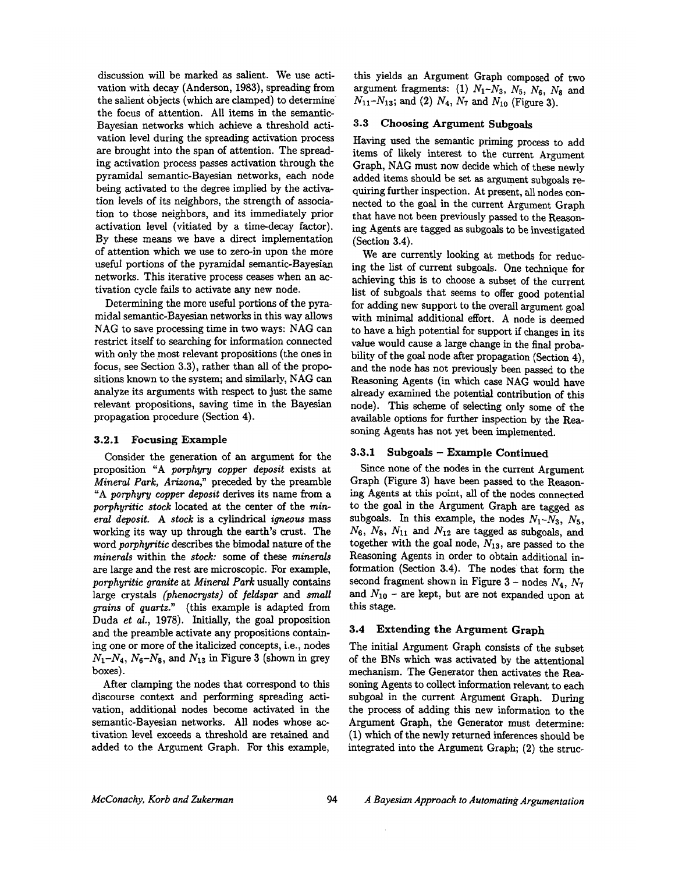discussion will be marked as salient. We use activation with decay (Anderson, 1983), spreading from the salient Objects (which are clamped) to determine the focus of attention. All items in the semantic-Bayesian networks which achieve a threshold activation level during the spreading activation process axe brought into the span of attention. The spreading activation process passes activation through the pyramidal semantic-Bayesian networks, each node being activated to the degree implied by the activation levels of its neighbors, the strength of association to those neighbors, and its immediately prior activation level (vitiated by a time-decay factor). By these means we have a direct implementation of attention which we use to zero-in upon the more useful portions of the pyramidal semantic-Bayesian networks. This iterative process ceases when an activation cycle fails to activate any new node.

Determining the more useful portions of the pyramidal semantic-Bayesian networks in this way allows NAG to save processing time in two ways: NAG can restrict itself to searching for information connected with only the most relevant propositions (the ones in focus, see Section 3.3), rather than all of the propositions known to the system; and similarly, NAG can analyze its arguments with respect to just the same relevant propositions, saving time in the Bayesian propagation procedure (Section 4).

#### 3.2.1 Focusing **Example**

Consider the generation of an argument for the proposition "A *porphyry copper deposit* exists at *Mineral Park, Arizona,"* preceded by the preamble "A *porphyry copper deposit* derives its name from a *porphyritic stock* located at the center of the *mineral deposit. A stock* is a cylindrical *igneous* mass working its way up through the earth's crust. The word *porphyritic* describes the bimodal nature of the *minerals* within the *stock:* some of these *minerals*  axe large and the rest are microscopic. For example, *porphyritic granite* at *Mineral Park* usually contains large crystals *(phenocrysts)* of *feldspar and small grains* of *quartz."* (this example is adapted from Duda *et al.,* 1978). Initially, the goal proposition and the preamble activate any propositions containing one or more of the italicized concepts, i.e., nodes  $N_1 - N_4$ ,  $N_6 - N_8$ , and  $N_{13}$  in Figure 3 (shown in grey boxes).

After clamping the nodes that correspond to this discourse context and performing spreading activation, additional nodes become activated in the semantic-Bayesian networks. All nodes whose activation level exceeds a threshold are retained and added to the Argument Graph. For this example,

this yields an Argument Graph composed of two argument fragments: (1)  $N_1 - N_3$ ,  $N_5$ ,  $N_6$ ,  $N_8$  and  $N_{11}-N_{13}$ ; and (2)  $N_4$ ,  $N_7$  and  $N_{10}$  (Figure 3).

## 3.3 Choosing Argument Subgoals

Having used the semantic priming process to add items of likely interest to the current Argument Graph, NAG must now decide which of these newly added items should be set as argument subgoals requiring further inspection. At present, all nodes connected to the goal in the current Argument Graph that have not been previously passed to the Reasoning Agents axe tagged as subgoals to be investigated (Section 3.4).

We are currently looking at methods for reducing the list of current subgoals. One technique for achieving this is to choose a subset of the current list of subgoals that seems to offer good potential for adding new support to the overall argument goal with minimal additional effort. A node is deemed to have a high potential for support if changes in its value would cause a large change in the final probability of the goal node after propagation (Section 4), and the node has not previously been passed to the Reasoning Agents (in which case NAG would have already examined the potential contribution of this node). This scheme of selecting only some of the available options for further inspection by the Reasoning Agents has not yet been implemented.

## **3.3.1 Subgoals - Example Continued**

Since none of the nodes in the current Argument Graph (Figure 3) have been passed to the Reasoning Agents at this point, all of the nodes connected to the goal in the Argument Graph are tagged as subgoals. In this example, the nodes  $N_1 - N_3$ ,  $N_5$ ,  $N_6$ ,  $N_8$ ,  $N_{11}$  and  $N_{12}$  are tagged as subgoals, and together with the goal node,  $N_{13}$ , are passed to the Reasoning Agents in order to obtain additional information (Section 3.4). The nodes that form the second fragment shown in Figure  $3$  - nodes  $N_4$ ,  $N_7$ and  $N_{10}$  – are kept, but are not expanded upon at this stage.

## **3.4 Extending the Argument Graph**

The initial Argument Graph consists of the subset of the BNs which was activated by the attentional mechanism. The Generator then activates the Reasoning Agents to collect information relevant to each subgoal in the current Argument Graph. During the process of adding this new information to the Argument Graph, the Generator must determine: (1) which of the newly returned inferences should be integrated into the Argument Graph; (2) the struc-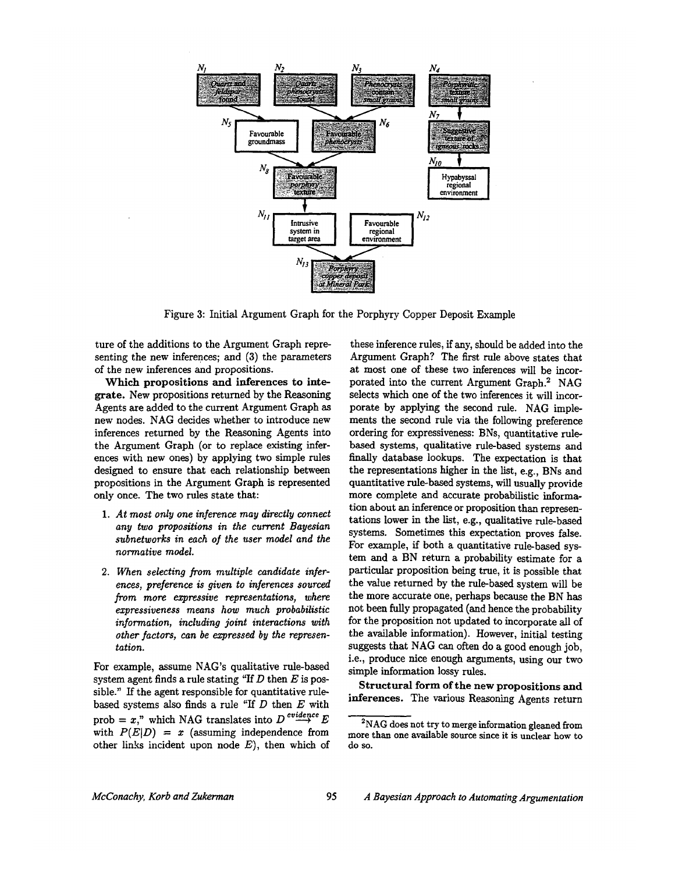

Figure 3: Initial Argument Graph for the Porphyry Copper Deposit Example

ture of the additions to the Argument Graph representing the new inferences; and (3) the parameters of the new inferences and propositions.

Which propositions and **inferences to integrate.** New propositions returned by the Reasoning Agents are added to the current Argument Graph as new nodes. NAG decides whether to introduce new inferences returned by the Reasoning Agents into the Argument Graph (or to replace existing inferences with new ones) by applying two simple rules designed to ensure that each relationship between propositions in the Argument Graph is represented only once. The two rules state that:

- *1. At most only one inference may directly connect any two propositions in the current Bayesian subnetworks in each of the user model and the normative model.*
- *2. When selecting from multiple candidate inferences, preference is given to inferences sourced from more expressive representations, where expressiveness means how much probabilistic information, including joint interactions with other factors, can be expressed by the representation.*

For example, assume NAG's qualitative rule-based system agent finds a rule stating "If  $D$  then  $E$  is possible." If the agent responsible for quantitative rulebased systems also finds a rule "If  $D$  then  $E$  with prob =  $x$ ," which NAG translates into  $D^{evidence}E$ with  $P(E|D) = x$  (assuming independence from other links incident upon node  $E$ ), then which of

these inference rules, if any, should be added into the Argument Graph? The first rule above states that at most one of these two inferences will be incorporated into the current Argument Graph.<sup>2</sup> NAG selects which one of the two inferences it will incorporate by applying the second rule. NAG implements the second rule via the following preference ordering for expressiveness: BNs, quantitative rulebased systems, qualitative rule-based systems and finally database lookups. The expectation is that the representations higher in the list, e.g., BNs and quantitative rule-based systems, will usually provide more complete and accurate probabilistic information about an inference or proposition than representations lower in the list, e.g., qualitative rule-based systems. Sometimes this expectation proves false. For example, if both a quantitative rule-based system and a BN return a probability estimate for a particular proposition being true, it is possible that the value returned by the rule-based system will be the more accurate one, perhaps because the BN has not been fully propagated (and hence the probability for the proposition not updated to incorporate all of the available information). However, initial testing suggests that NAG can often do a good enough job, i.e., produce nice enough arguments, using our two simple information lossy rules.

**Structural form of the new propositions** and **inferences.** The various Reasoning Agents return

<sup>&</sup>lt;sup>2</sup>NAG does not try to merge information gleaned from more than one available source since it is unclear how to do so.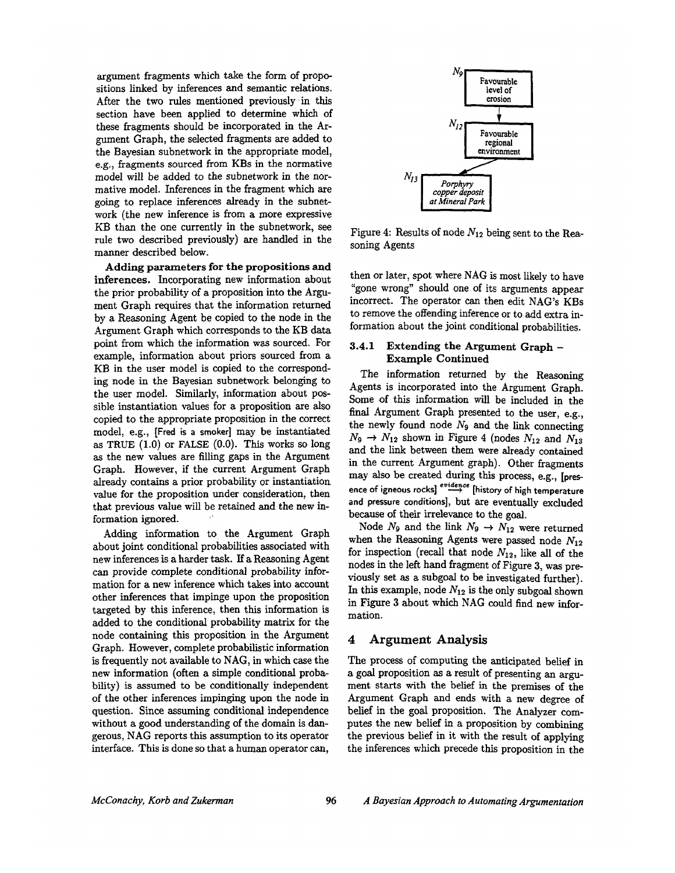argument fragments which take the form of propositions linked by inferences and semantic relations. After the two rules mentioned previously in this section have been applied to determine which of these fragments should be incorporated in the Argument Graph, the selected fragments are added to the Bayesian subnetwork in the appropriate model, e.g., fragments sourced from KBs in the normative model will be added to the subnetwork in the normative model. Inferences in the fragment which are going to replace inferences already in the subnetwork (the new inference is from a more expressive KB than the one currently in the subnetwork, see rule two described previously) are handled in the manner described below.

**Adding parameters for the propositions and inferences.** Incorporating new information about the prior probability of a proposition into the Argument Graph requires that the information returned by a Reasoning Agent be copied to the node in the Argument Graph which corresponds to the KB data point from which the information was sourced. For example, information about priors sourced from a KB in the user model is copied to the corresponding node in the Bayesian subnetwork belonging to the user model. Similarly, information about possible instantiation values for a proposition are also copied to the appropriate proposition in the correct model, e.g., [Fred is a smoker] may be instantiated as TRUE (1.0) or FALSE (0.0). This works so long as the new values are filling gaps in the Argument Graph. However, if the current Argument Graph already contains a prior probability or instantiation value for the proposition under consideration, then that previous value will be retained and the new information ignored.

Adding information to the Argument Graph about joint conditional probabilities associated with new inferences is a harder task. If a Reasoning Agent can provide complete conditional probability information for a new inference which takes into account other inferences that impinge upon the proposition targeted by this inference, then this information is added to the conditional probability matrix for the node containing this proposition in the Argument Graph. However, complete probabilistic information is frequently not available to NAG, in which case the new information (often a simple conditional probability) is assumed to be conditionally independent of the other inferences impinging upon the node in question. Since assuming conditional independence without a good understanding of the domain is dangerous, NAG reports this assumption to its operator interface. This is done so that a human operator can,



Figure 4: Results of node  $N_{12}$  being sent to the Reasoning Agents

then or later, spot where NAG is most likely to have "gone wrong" should one of its arguments appear incorrect. The operator can then edit NAG's KBs to remove the offending inference or to add extra information about the joint conditional probabilities.

#### **3.4.1 Extending the Argument Graph - Example Continued**

The information returned by the Reasoning Agents is incorporated into the Argument Graph. Some of this information will be included in the final Argument Graph presented to the user, e.g., the newly found node  $N_9$  and the link connecting  $N_9 \rightarrow N_{12}$  shown in Figure 4 (nodes  $N_{12}$  and  $N_{13}$ ) and the link between them were already contained in the current Argument graph). Other fragments may also be created during this process, e.g., [presence of igneous rocks]  $\stackrel{evidence}{\longrightarrow}$  [history of high temperature **and pressure conditions],** but are eventually excluded because of their irrelevance to the goal.

Node  $N_9$  and the link  $N_9 \rightarrow N_{12}$  were returned when the Reasoning Agents were passed node  $N_{12}$ for inspection (recall that node  $N_{12}$ , like all of the nodes in the left hand fragment of Figure 3, was previously set as a subgoal to be investigated further). In this example, node  $N_{12}$  is the only subgoal shown in Figure 3 about which NAG could find new information.

### **4 Argument Analysis**

The process of computing the anticipated belief in a goal proposition as a result of presenting an argument starts with the belief in the premises of the Argument Graph and ends with a new degree of belief in the goal proposition. The Analyzer computes the new belief in a proposition by combining the previous belief in it with the result of applying the inferences which precede this proposition in the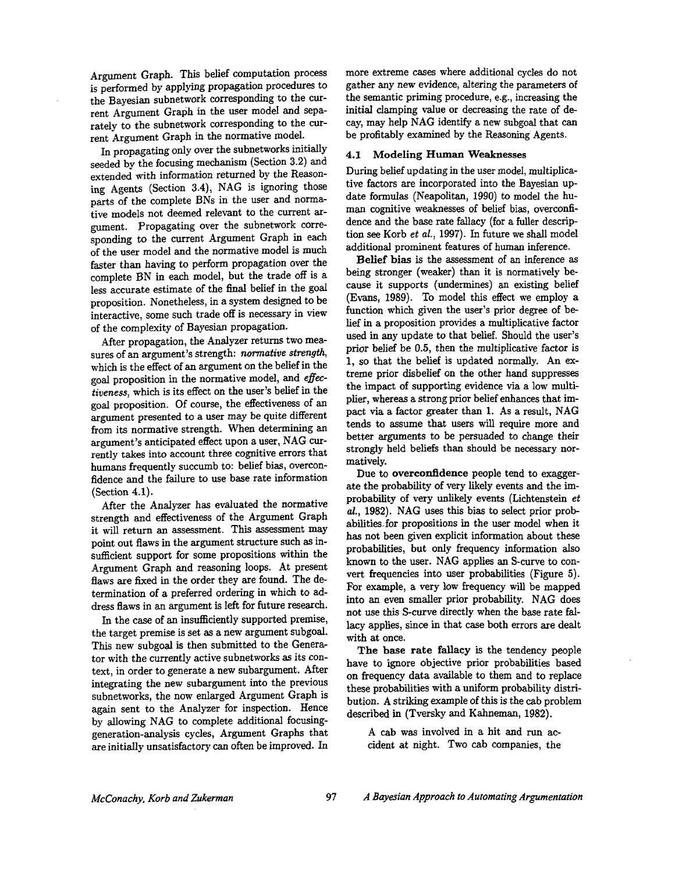Argument Graph. This belief computation process is performed by applying propagation procedures to the Bayesian subnetwork corresponding to the current Argument Graph in the user model and separately to the subnetwork corresponding to the current Argument Graph in the normative model.

In propagating only over the subnetworks initially seeded by the focusing mechanism (Section 3.2) and extended with information returned by the Reasoning Agents (Section 3.4), NAG is ignoring those parts of the complete BNs in the user and normative models not deemed relevant to the current argument. Propagating over the subnetwork corresponding to the current Argument Graph in each of the user model and the normative model is much faster than having to perform propagation over the complete BN in each model, but the trade off is a less accurate estimate of the final belief in the goal proposition. Nonetheless, in a system designed to be interactive, some such trade off is necessary in view of the complexity of Bayesian propagation.

After propagation, the Analyzer returns two measures of an argument's strength: *normative strength,*  which is the effect of an argument on the belief in the goal proposition in the normative model, and *effectiveness,* which is its effect on the user's belief in the goal proposition. Of course, the effectiveness of an argument presented to a user may be quite different from its normative strength. When determining an argument's anticipated effect upon a user, NAG currently takes into account three cognitive errors that humans frequently succumb to: belief bias, overconfidence and the failure to use base rate information (Section 4.1).

After the Analyzer has evaluated the normative strength and effectiveness of the Argument Graph it will return an assessment. This assessment may point out flaws in the argument structure such as insufficient support for some propositions within the Argument Graph and reasoning loops. At present flaws are fixed in the order they are found. The determination of a preferred ordering in which to address flaws in an argument is left for future research.

In the case of an insufficiently supported premise, the target premise is set as a new argument subgoal. This new subgoal is then submitted to the Generator with the currently active subnetworks as its context, in order to generate a new subargument. After integrating the new subargument into the previous subnetworks, the now enlarged Argument Graph is again sent to the Analyzer for inspection. Hence by allowing NAG to complete additional focusinggeneration-analysis cycles, Argument Graphs that are initially unsatisfactory can often be improved. In more extreme cases where additional cycles do not gather any new evidence, altering the parameters of the semantic priming procedure, e.g., increasing the initial clamping value or decreasing the rate of decay, may help NAG identify a new subgoal that can be profitably examined by the Reasoning Agents.

#### **4.1 Modeling Human Weaknesses**

During belief updating in the user model, multiplicative factors are incorporated into the Bayesian update formulas (Neapolitan, 1990) to model the human cognitive weaknesses of belief bias, overconfidence and the base rate fallacy (for a fuller description see Korb *et al.,* 1997). In future we shall model additional prominent features of human inference.

Belief bias is the assessment of an inference as being stronger (weaker) than it is normatively because it supports (undermines) an existing belief (Evans, 1989). To model this effect we employ a function which given the user's prior degree of belief in a proposition provides a multiplicative factor used in any update to that belief. Should the user's prior belief be 0.5, then the multiplicative factor is 1, so that the belief is updated normally. An extreme prior disbelief on the other hand suppresses the impact of supporting evidence via a low multiplier, whereas a strong prior belief enhances that impact via a factor greater than 1. As a result, NAG tends to assume that users will require more and better arguments to be persuaded to change their strongly held beliefs than should be necessary normatively.

Due to overconfidence people tend to exaggerate the probability of very likely events and the improbability of very unlikely events (Lichtenstein *et aL,* 1982). NAG uses this bias to select prior probabilities.for propositions in the user model when it has not been given explicit information about these probabilities, but only frequency information also known to the user. NAG applies an S-curve to convert frequencies into user probabilities (Figure 5). For example, a very low frequency will be mapped into an even smaller prior probability. NAG does not use this S-curve directly when the base rate fallacy applies, since in that case both errors are dealt with at once.

The base rate fallacy is the tendency people have to ignore objective prior probabilities based on frequency data available to them and to replace these probabilities with a uniform probability distribution. A striking example of this is the cab problem described in (Tversky and Kahneman, 1982).

A cab was involved in a hit and run accident at night. Two cab companies, the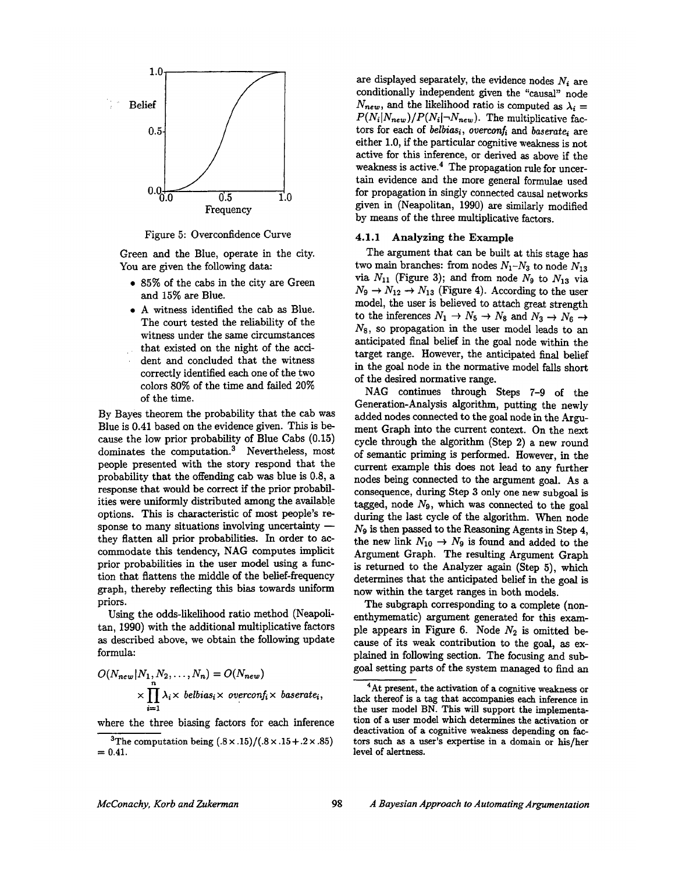

Figure 5: Overconfidence Curve

Green and the Blue, operate in the city. You are given the following data:

- 85% of the cabs in the city are Green and 15% are Blue.
- \* A witness identified the cab as Blue. The court tested the reliability of the witness under the same circumstances that existed on the night of the acci- $\epsilon^{(2)}$ dent and concluded that the witness correctly identified each one of the two colors 80% of the time and failed 20% of the time.

By Bayes theorem the probability that the cab was Blue is 0.41 based on the evidence given. This is because the low prior probability of Blue Cabs (0.15) dominates the computation. $3$  Nevertheless, most people presented with the story respond that the probability that the offending cab was blue is 0.8, a response that would be correct if the prior probabilities were uniformly distributed among the available options. This is characteristic of most people's response to many situations involving uncertainty  $$ they flatten all prior probabilities. In order to accommodate this tendency, NAG computes implicit prior probabilities in the user model using a function that flattens the middle of the belief-frequency graph, thereby reflecting this bias towards uniform priors.

Using the odds-likelihood ratio method (Neapolitan, 1990) with the additional multiplicative factors as described above, we obtain the following update formula:

$$
O(N_{new}|N_1, N_2, \dots, N_n) = O(N_{new})
$$
  
 
$$
\times \prod_{i=1}^n \lambda_i \times \text{belbias}_i \times \text{overconf}_i \times \text{baserate}_i,
$$

where the three biasing factors for each inference

are displayed separately, the evidence nodes  $N_i$  are conditionally independent given the "causal" node  $N_{new}$ , and the likelihood ratio is computed as  $\lambda_i =$  $P(N_i|N_{new})/P(N_i|\neg N_{new})$ . The multiplicative factors for each of *belbias<sub>i</sub>*, overconf<sub>i</sub> and *baserate<sub>i</sub>* are either 1.0, if the particular cognitive weakness is not active for this inference, or derived as above if the weakness is active.<sup>4</sup> The propagation rule for uncertain evidence and the more general formulae used for propagation in singly connected causal networks given in (Neapolitan, 1990) are similarly modified by means of the three multiplicative factors.

#### 4.1.1 Analyzing **the Example**

The argument that can be built at this stage has two main branches: from nodes  $N_1 - N_3$  to node  $N_{13}$ via  $N_{11}$  (Figure 3); and from node  $N_9$  to  $N_{13}$  via  $N_9 \rightarrow N_{12} \rightarrow N_{13}$  (Figure 4). According to the user model, the user is believed to attach great strength to the inferences  $N_1 \rightarrow N_5 \rightarrow N_8$  and  $N_3 \rightarrow N_6 \rightarrow$  $N_8$ , so propagation in the user model leads to an anticipated final belief in the goal node within the target range. However, the anticipated final belief in the goal node in the normative model falls short of the desired normative range.

NAG continues through Steps 7-9 of the Generation-Analysis algorithm, putting the newly added nodes connected to the goal node in the Argument Graph into the current context. On the next cycle through the algorithm (Step 2) a new round of semantic priming is performed. However, in the current example this does not lead to any further nodes being connected to the argument goal. As a consequence, during Step 3 only one new subgoal is tagged, node  $N<sub>9</sub>$ , which was connected to the goal during the last cycle of the algorithm. When node  $N_9$  is then passed to the Reasoning Agents in Step 4, the new link  $N_{10} \rightarrow N_9$  is found and added to the Argument Graph. The resulting Argument Graph is returned to the Analyzer again (Step 5), which determines that the anticipated belief in the goal is now within the target ranges in both models.

The subgraph corresponding to a complete (nonenthymematic) argument generated for this example appears in Figure 6. Node  $N_2$  is omitted because of its weak contribution to the goal, as explained in following section. The focusing and subgoal setting parts of the system managed to find an

<sup>&</sup>lt;sup>3</sup>The computation being  $(.8 \times .15)/(.8 \times .15 + .2 \times .85)$  $= 0.41.$ 

<sup>&</sup>lt;sup>4</sup>At present, the activation of a cognitive weakness or lack thereof is a tag that accompanies each inference in the user model BN. This will support the implementation of a user model which determines the activation or deactivation of a cognitive weakness depending on factors such as a user's expertise in a domain or his/her **level** of alertness.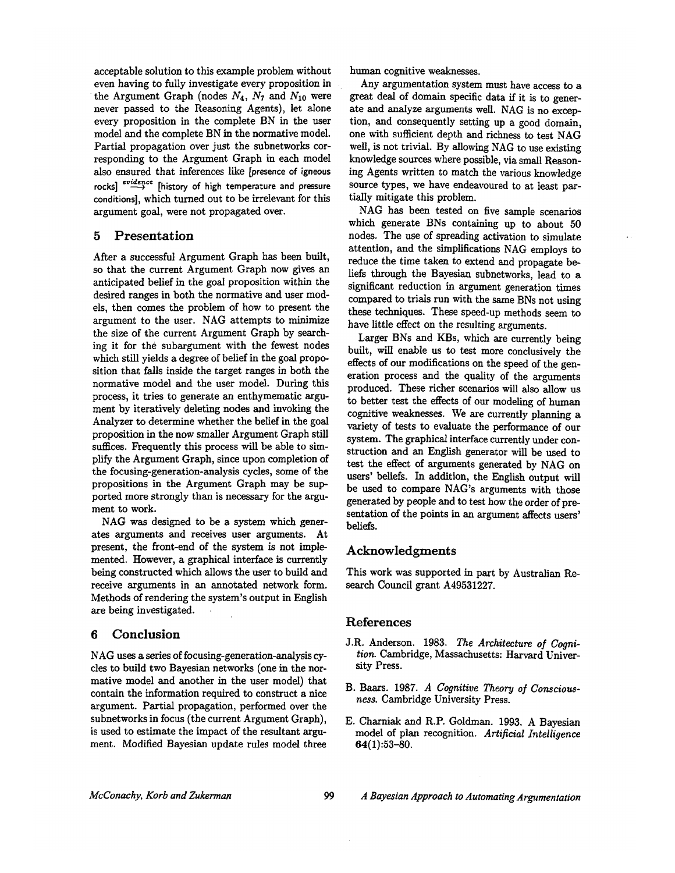acceptable solution to this example problem without even having to fully investigate every proposition in the Argument Graph (nodes  $N_4$ ,  $N_7$  and  $N_{10}$  were never passed to the Reasoning Agents), let alone every proposition in the complete BN in the user model and the complete BN in the normative model. Partial propagation over just the subnetworks corresponding to the Argument Graph in each model also ensured that inferences like [presence of igneous rocks]  $\stackrel{evidence}{\longrightarrow}$  [history of high temperature and pressure conditions], which turned out to be irrelevant for this argument goal, were not propagated over.

## 5 Presentation

After a successful Argument Graph has been built, so that the current Argument Graph now gives an anticipated belief in the goal proposition within the desired ranges in both the normative and user models, then comes the problem of how to present the argument to the user. NAG attempts to minimize the size of the current Argument Graph by searching it for the subargument with the fewest nodes which still yields a degree of belief in the goal proposition that falls inside the target ranges in both the normative model and the user model. During this process, it tries to generate an enthymematic argument by iteratively deleting nodes and invoking the Analyzer to determine whether the belief in the goal proposition in the now smaller Argument Graph still suffices. Frequently this process will be able to simplify the Argument Graph, since upon completion of the focusing-generation-analysis cycles, some of the propositions in the Argument Graph may be supported more strongly than is necessary for the argument to work.

NAG was designed to be a system which generates arguments and receives user arguments. At present, the front-end of the system is not implemented. However, a graphical interface is currently being constructed which allows the user to build and receive arguments in an annotated network form. Methods of rendering the system's output in English are being investigated.

## 6 Conclusion

NAG uses a series of focusing-generation-analysis cycles to build two Bayesian networks (one in the normative model and another in the user model) that contain the information required to construct a nice argument. Partial propagation, performed over the subnetworks in focus (the current Argument Graph), is used to estimate the impact of the resultant argument. Modified Bayesian update rules model three

human cognitive weaknesses.

Any argumentation system must have access to a great deal of domain specific data if it is to generate and analyze arguments well. NAG is no exception, and consequently setting up a good domain, one with sufficient depth and richness to test NAG well, is not trivial. By allowing NAG to use existing knowledge sources where possible, via small Reasoning Agents written to match the various knowledge source types, we have endeavoured to at least partially mitigate this problem.

NAG has been tested on five sample scenarios which generate BNs containing up to about 50 nodes. The use of spreading activation to simulate attention, and the simplifications NAG employs to reduce the time taken to extend and propagate beliefs through the Bayesian subnetworks, lead to a significant reduction in argument generation times compared to trials run with the same BNs not using these techniques. These speed-up methods seem to have little effect on the resulting arguments.

Larger BNs and KBs, which are currently being built, will enable us to test more conclusively the effects of our modifications on the speed of the generation process and the quality of the arguments produced. These richer scenarios will also allow us to better test the effects of our modeling of human cognitive weaknesses. We are currently planning a variety of tests to evaluate the performance of our system. The graphical interface currently under construction and an English generator will be used to test the effect of arguments generated by NAG on users' beliefs. In addition, the English output will be used to compare NAG's arguments with those generated by people and to test how the order of presentation of the points in an argument affects users' beliefs.

## Acknowledgments

This work was supported in part by Australian Research Council grant A49531227.

### References

- J.R. Anderson. 1983. *The Architecture of Cognition.* Cambridge, Massachusetts: Harvard University Press.
- B. Baars. 1987. *A Cognitive Theory of Consciousness.* Cambridge University Press.
- E. Charniak and R.P. Goldman. 1993. A Bayesian model of plan recognition. *Artificial Intelligence*  64(1):53-80.